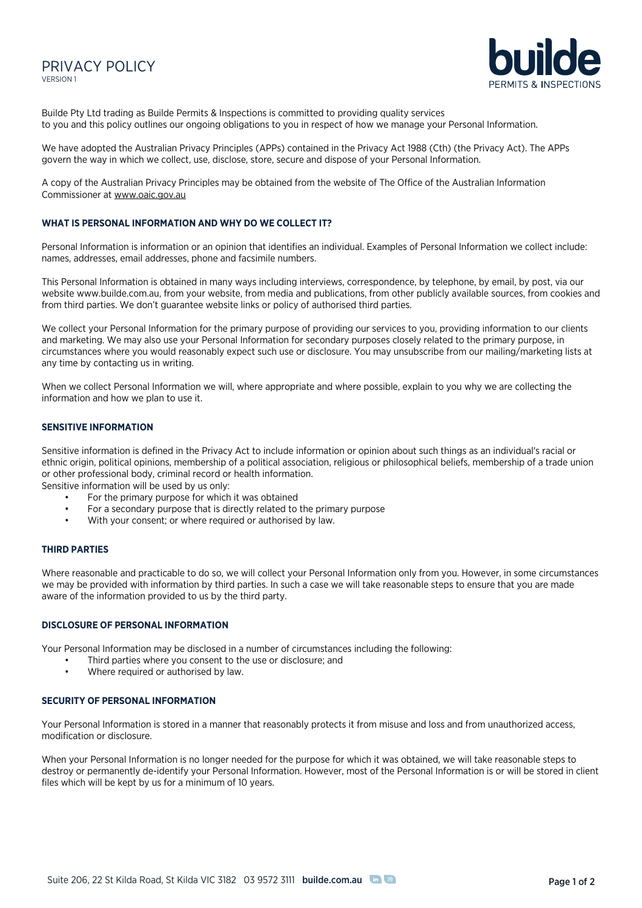# PRIVACY POLICY VERSION 1



Builde Pty Ltd trading as Builde Permits & Inspections is committed to providing quality services to you and this policy outlines our ongoing obligations to you in respect of how we manage your Personal Information.

We have adopted the Australian Privacy Principles (APPs) contained in the Privacy Act 1988 (Cth) (the Privacy Act). The APPs govern the way in which we collect, use, disclose, store, secure and dispose of your Personal Information.

A copy of the Australian Privacy Principles may be obtained from the website of The Office of the Australian Information Commissioner at www.oaic.gov.au

## **WHAT IS PERSONAL INFORMATION AND WHY DO WE COLLECT IT?**

Personal Information is information or an opinion that identifies an individual. Examples of Personal Information we collect include: names, addresses, email addresses, phone and facsimile numbers.

This Personal Information is obtained in many ways including interviews, correspondence, by telephone, by email, by post, via our website www.builde.com.au, from your website, from media and publications, from other publicly available sources, from cookies and from third parties. We don't guarantee website links or policy of authorised third parties.

We collect your Personal Information for the primary purpose of providing our services to you, providing information to our clients and marketing. We may also use your Personal Information for secondary purposes closely related to the primary purpose, in circumstances where you would reasonably expect such use or disclosure. You may unsubscribe from our mailing/marketing lists at any time by contacting us in writing.

When we collect Personal Information we will, where appropriate and where possible, explain to you why we are collecting the information and how we plan to use it.

## **SENSITIVE INFORMATION**

Sensitive information is defined in the Privacy Act to include information or opinion about such things as an individual's racial or ethnic origin, political opinions, membership of a political association, religious or philosophical beliefs, membership of a trade union or other professional body, criminal record or health information.

Sensitive information will be used by us only:

- For the primary purpose for which it was obtained
- For a secondary purpose that is directly related to the primary purpose
- With your consent; or where required or authorised by law.

### **THIRD PARTIES**

Where reasonable and practicable to do so, we will collect your Personal Information only from you. However, in some circumstances we may be provided with information by third parties. In such a case we will take reasonable steps to ensure that you are made aware of the information provided to us by the third party.

#### **DISCLOSURE OF PERSONAL INFORMATION**

Your Personal Information may be disclosed in a number of circumstances including the following:

- Third parties where you consent to the use or disclosure; and
- Where required or authorised by law.

#### **SECURITY OF PERSONAL INFORMATION**

Your Personal Information is stored in a manner that reasonably protects it from misuse and loss and from unauthorized access, modification or disclosure.

When your Personal Information is no longer needed for the purpose for which it was obtained, we will take reasonable steps to destroy or permanently de-identify your Personal Information. However, most of the Personal Information is or will be stored in client files which will be kept by us for a minimum of 10 years.